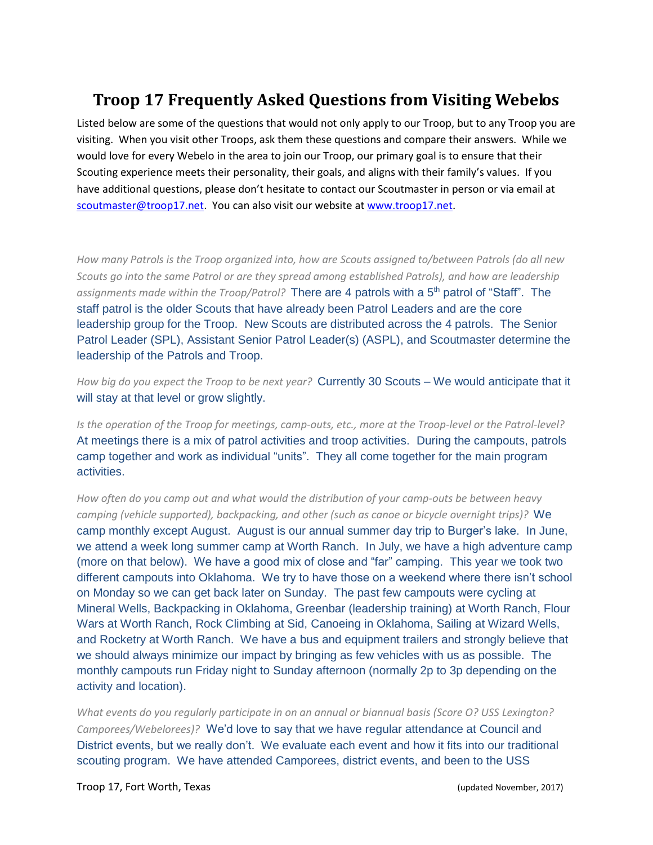## **Troop 17 Frequently Asked Questions from Visiting Webelos**

Listed below are some of the questions that would not only apply to our Troop, but to any Troop you are visiting. When you visit other Troops, ask them these questions and compare their answers. While we would love for every Webelo in the area to join our Troop, our primary goal is to ensure that their Scouting experience meets their personality, their goals, and aligns with their family's values. If you have additional questions, please don't hesitate to contact our Scoutmaster in person or via email at [scoutmaster@troop17.net.](mailto:scoutmaster@troop17.net) You can also visit our website a[t www.troop17.net.](http://www.troop17.net/)

*How many Patrols is the Troop organized into, how are Scouts assigned to/between Patrols (do all new Scouts go into the same Patrol or are they spread among established Patrols), and how are leadership*  assignments made within the Troop/Patrol? There are 4 patrols with a 5<sup>th</sup> patrol of "Staff". The staff patrol is the older Scouts that have already been Patrol Leaders and are the core leadership group for the Troop. New Scouts are distributed across the 4 patrols. The Senior Patrol Leader (SPL), Assistant Senior Patrol Leader(s) (ASPL), and Scoutmaster determine the leadership of the Patrols and Troop.

*How big do you expect the Troop to be next year?* Currently 30 Scouts – We would anticipate that it will stay at that level or grow slightly.

*Is the operation of the Troop for meetings, camp-outs, etc., more at the Troop-level or the Patrol-level?* At meetings there is a mix of patrol activities and troop activities. During the campouts, patrols camp together and work as individual "units". They all come together for the main program activities.

*How often do you camp out and what would the distribution of your camp-outs be between heavy camping (vehicle supported), backpacking, and other (such as canoe or bicycle overnight trips)?* We camp monthly except August. August is our annual summer day trip to Burger's lake. In June, we attend a week long summer camp at Worth Ranch. In July, we have a high adventure camp (more on that below). We have a good mix of close and "far" camping. This year we took two different campouts into Oklahoma. We try to have those on a weekend where there isn't school on Monday so we can get back later on Sunday. The past few campouts were cycling at Mineral Wells, Backpacking in Oklahoma, Greenbar (leadership training) at Worth Ranch, Flour Wars at Worth Ranch, Rock Climbing at Sid, Canoeing in Oklahoma, Sailing at Wizard Wells, and Rocketry at Worth Ranch. We have a bus and equipment trailers and strongly believe that we should always minimize our impact by bringing as few vehicles with us as possible. The monthly campouts run Friday night to Sunday afternoon (normally 2p to 3p depending on the activity and location).

*What events do you regularly participate in on an annual or biannual basis (Score O? USS Lexington? Camporees/Webelorees)?* We'd love to say that we have regular attendance at Council and District events, but we really don't. We evaluate each event and how it fits into our traditional scouting program. We have attended Camporees, district events, and been to the USS

Troop 17, Fort Worth, Texas (updated November, 2017)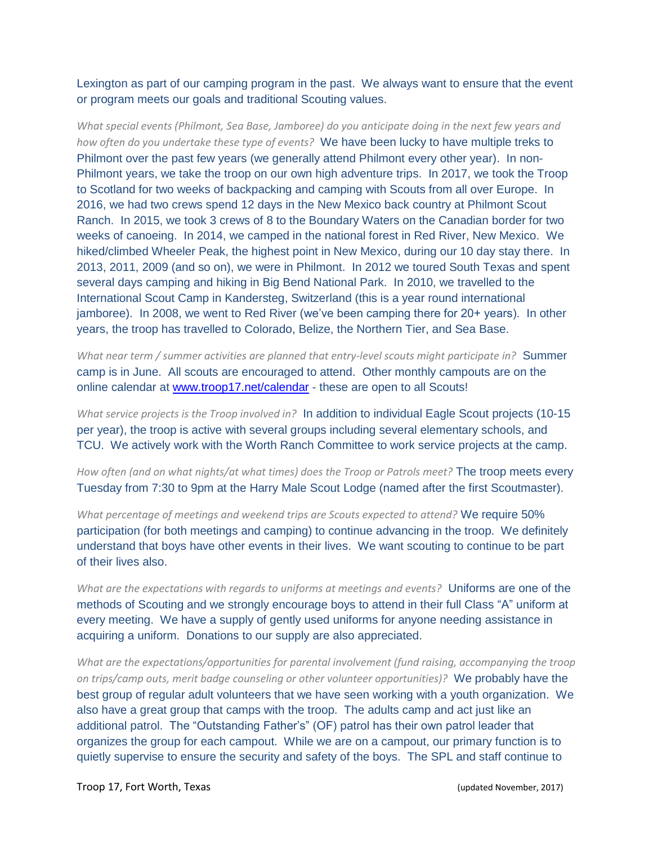Lexington as part of our camping program in the past. We always want to ensure that the event or program meets our goals and traditional Scouting values.

*What special events (Philmont, Sea Base, Jamboree) do you anticipate doing in the next few years and how often do you undertake these type of events?* We have been lucky to have multiple treks to Philmont over the past few years (we generally attend Philmont every other year). In non-Philmont years, we take the troop on our own high adventure trips. In 2017, we took the Troop to Scotland for two weeks of backpacking and camping with Scouts from all over Europe. In 2016, we had two crews spend 12 days in the New Mexico back country at Philmont Scout Ranch. In 2015, we took 3 crews of 8 to the Boundary Waters on the Canadian border for two weeks of canoeing. In 2014, we camped in the national forest in Red River, New Mexico. We hiked/climbed Wheeler Peak, the highest point in New Mexico, during our 10 day stay there. In 2013, 2011, 2009 (and so on), we were in Philmont. In 2012 we toured South Texas and spent several days camping and hiking in Big Bend National Park. In 2010, we travelled to the International Scout Camp in Kandersteg, Switzerland (this is a year round international jamboree). In 2008, we went to Red River (we've been camping there for 20+ years). In other years, the troop has travelled to Colorado, Belize, the Northern Tier, and Sea Base.

*What near term / summer activities are planned that entry-level scouts might participate in?* Summer camp is in June. All scouts are encouraged to attend. Other monthly campouts are on the online calendar at [www.troop17.net/calendar](http://www.troop17.net/calendar) - these are open to all Scouts!

*What service projects is the Troop involved in?* In addition to individual Eagle Scout projects (10-15 per year), the troop is active with several groups including several elementary schools, and TCU. We actively work with the Worth Ranch Committee to work service projects at the camp.

*How often (and on what nights/at what times) does the Troop or Patrols meet?* The troop meets every Tuesday from 7:30 to 9pm at the Harry Male Scout Lodge (named after the first Scoutmaster).

*What percentage of meetings and weekend trips are Scouts expected to attend?* We require 50% participation (for both meetings and camping) to continue advancing in the troop. We definitely understand that boys have other events in their lives. We want scouting to continue to be part of their lives also.

*What are the expectations with regards to uniforms at meetings and events?* Uniforms are one of the methods of Scouting and we strongly encourage boys to attend in their full Class "A" uniform at every meeting. We have a supply of gently used uniforms for anyone needing assistance in acquiring a uniform. Donations to our supply are also appreciated.

*What are the expectations/opportunities for parental involvement (fund raising, accompanying the troop on trips/camp outs, merit badge counseling or other volunteer opportunities)?* We probably have the best group of regular adult volunteers that we have seen working with a youth organization. We also have a great group that camps with the troop. The adults camp and act just like an additional patrol. The "Outstanding Father's" (OF) patrol has their own patrol leader that organizes the group for each campout. While we are on a campout, our primary function is to quietly supervise to ensure the security and safety of the boys. The SPL and staff continue to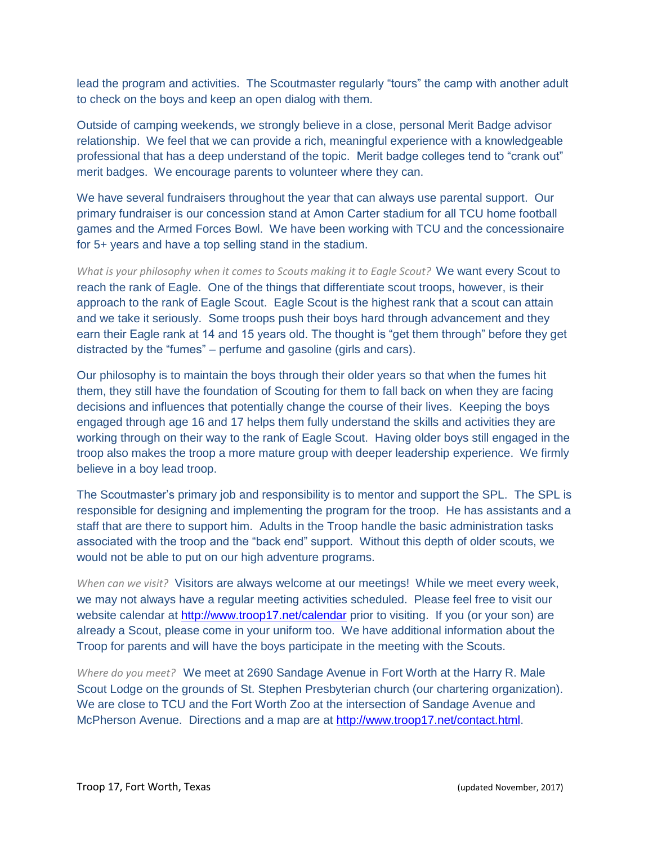lead the program and activities. The Scoutmaster regularly "tours" the camp with another adult to check on the boys and keep an open dialog with them.

Outside of camping weekends, we strongly believe in a close, personal Merit Badge advisor relationship. We feel that we can provide a rich, meaningful experience with a knowledgeable professional that has a deep understand of the topic. Merit badge colleges tend to "crank out" merit badges. We encourage parents to volunteer where they can.

We have several fundraisers throughout the year that can always use parental support. Our primary fundraiser is our concession stand at Amon Carter stadium for all TCU home football games and the Armed Forces Bowl. We have been working with TCU and the concessionaire for 5+ years and have a top selling stand in the stadium.

*What is your philosophy when it comes to Scouts making it to Eagle Scout?* We want every Scout to reach the rank of Eagle. One of the things that differentiate scout troops, however, is their approach to the rank of Eagle Scout. Eagle Scout is the highest rank that a scout can attain and we take it seriously. Some troops push their boys hard through advancement and they earn their Eagle rank at 14 and 15 years old. The thought is "get them through" before they get distracted by the "fumes" – perfume and gasoline (girls and cars).

Our philosophy is to maintain the boys through their older years so that when the fumes hit them, they still have the foundation of Scouting for them to fall back on when they are facing decisions and influences that potentially change the course of their lives. Keeping the boys engaged through age 16 and 17 helps them fully understand the skills and activities they are working through on their way to the rank of Eagle Scout. Having older boys still engaged in the troop also makes the troop a more mature group with deeper leadership experience. We firmly believe in a boy lead troop.

The Scoutmaster's primary job and responsibility is to mentor and support the SPL. The SPL is responsible for designing and implementing the program for the troop. He has assistants and a staff that are there to support him. Adults in the Troop handle the basic administration tasks associated with the troop and the "back end" support. Without this depth of older scouts, we would not be able to put on our high adventure programs.

*When can we visit?* Visitors are always welcome at our meetings! While we meet every week, we may not always have a regular meeting activities scheduled. Please feel free to visit our website calendar at<http://www.troop17.net/calendar> prior to visiting. If you (or your son) are already a Scout, please come in your uniform too. We have additional information about the Troop for parents and will have the boys participate in the meeting with the Scouts.

*Where do you meet?* We meet at 2690 Sandage Avenue in Fort Worth at the Harry R. Male Scout Lodge on the grounds of St. Stephen Presbyterian church (our chartering organization). We are close to TCU and the Fort Worth Zoo at the intersection of Sandage Avenue and McPherson Avenue. Directions and a map are at [http://www.troop17.net/contact.html.](http://www.troop17.net/contact.html)